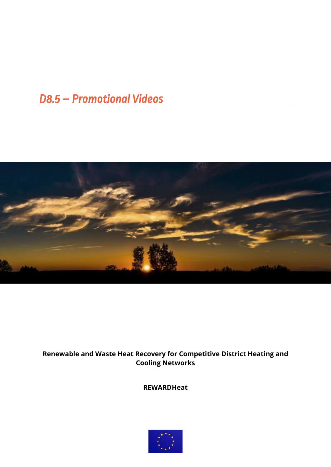# **D8.5 - Promotional Videos**



### Renewable and Waste Heat Recovery for Competitive District Heating and **Cooling Networks**

**REWARDHeat** 

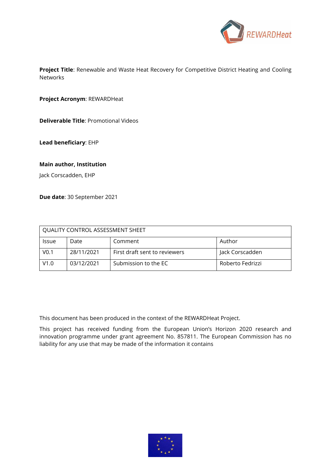

**Project Title**: Renewable and Waste Heat Recovery for Competitive District Heating and Cooling Networks

**Project Acronym**: REWARDHeat

**Deliverable Title**: Promotional Videos

**Lead beneficiary**: EHP

#### **Main author, Institution**

Jack Corscadden, EHP

**Due date**: 30 September 2021

| QUALITY CONTROL ASSESSMENT SHEET |            |                               |                  |  |
|----------------------------------|------------|-------------------------------|------------------|--|
| <b>Issue</b>                     | Date       | Comment                       | Author           |  |
| V <sub>0.1</sub>                 | 28/11/2021 | First draft sent to reviewers | Jack Corscadden  |  |
| V1.0                             | 03/12/2021 | Submission to the EC          | Roberto Fedrizzi |  |

This document has been produced in the context of the REWARDHeat Project.

This project has received funding from the European Union's Horizon 2020 research and innovation programme under grant agreement No. 857811. The European Commission has no liability for any use that may be made of the information it contains

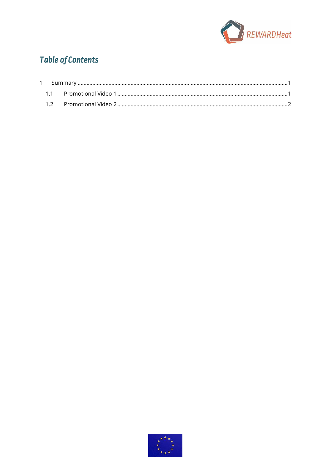

## **Table of Contents**

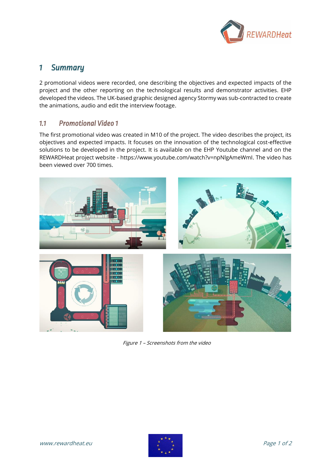

### <span id="page-3-0"></span>*1 Summary*

2 promotional videos were recorded, one describing the objectives and expected impacts of the project and the other reporting on the technological results and demonstrator activities. EHP developed the videos. The UK-based graphic designed agency Stormy was sub-contracted to create the animations, audio and edit the interview footage.

### <span id="page-3-1"></span>*1.1 Promotional Video 1*

The first promotional video was created in M10 of the project. The video describes the project, its objectives and expected impacts. It focuses on the innovation of the technological cost-effective solutions to be developed in the project. It is available on the EHP Youtube channel and on the REWARDHeat project website - [https://www.youtube.com/watch?v=npNlgAmeWmI.](https://www.youtube.com/watch?v=npNlgAmeWmI) The video has been viewed over 700 times.



Figure 1 – Screenshots from the video

<span id="page-3-2"></span>